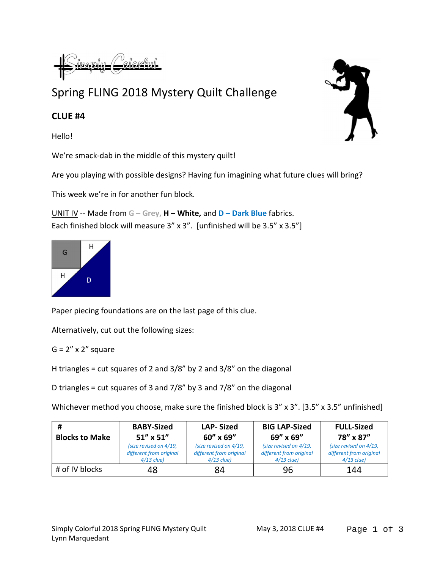## Spring FLING 2018 Mystery Quilt Challenge

## CLUE #4

Hello!

We're smack-dab in the middle of this mystery quilt!

Are you playing with possible designs? Having fun imagining what future clues will bring?

This week we're in for another fun block.

UNIT IV -- Made from  $G - Grey$ ,  $H - White$ , and  $D - Dark Blue$  fabrics. Each finished block will measure 3" x 3". [unfinished will be 3.5" x 3.5"]



Paper piecing foundations are on the last page of this clue.

Alternatively, cut out the following sizes:

 $G = 2'' \times 2''$  square

H triangles = cut squares of 2 and  $3/8$ " by 2 and  $3/8$ " on the diagonal

D triangles = cut squares of 3 and  $7/8$ " by 3 and  $7/8$ " on the diagonal

Whichever method you choose, make sure the finished block is 3" x 3". [3.5" x 3.5" unfinished]

| #                     | <b>BABY-Sized</b>                                                 | <b>LAP-Sized</b>                                                  | <b>BIG LAP-Sized</b>                                              | <b>FULL-Sized</b>                                                 |
|-----------------------|-------------------------------------------------------------------|-------------------------------------------------------------------|-------------------------------------------------------------------|-------------------------------------------------------------------|
| <b>Blocks to Make</b> | $51''$ x $51''$                                                   | $60''$ x $69''$                                                   | 69" x 69"                                                         | 78" x 87"                                                         |
|                       | (size revised on 4/19,<br>different from original<br>$4/13$ clue) | (size revised on 4/19,<br>different from original<br>$4/13$ clue) | (size revised on 4/19,<br>different from original<br>$4/13$ clue) | (size revised on 4/19,<br>different from original<br>$4/13$ clue) |
| # of IV blocks        | 48                                                                | 84                                                                | 96                                                                | 144                                                               |



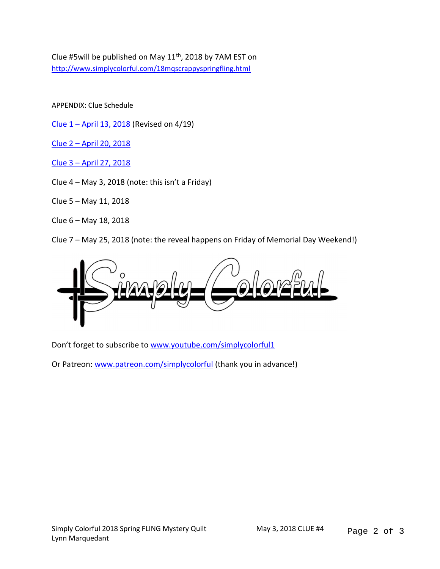Clue #5will be published on May 11<sup>th</sup>, 2018 by 7AM EST on http://www.simplycolorful.com/18mqscrappyspringfling.html

APPENDIX: Clue Schedule

Clue  $1 -$  April 13, 2018 (Revised on 4/19)

Clue 2 – April 20, 2018

Clue 3 – April 27, 2018

Clue  $4 - May 3$ , 2018 (note: this isn't a Friday)

Clue 5 – May 11, 2018

Clue 6 – May 18, 2018

Clue 7 – May 25, 2018 (note: the reveal happens on Friday of Memorial Day Weekend!)



Don't forget to subscribe to www.youtube.com/simplycolorful1

Or Patreon: www.patreon.com/simplycolorful (thank you in advance!)